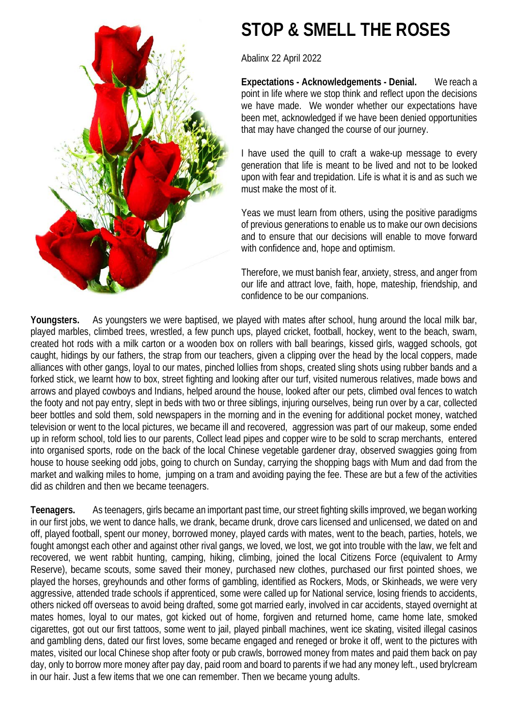

## **STOP & SMELL THE ROSES**

Abalinx 22 April 2022

**Expectations - Acknowledgements - Denial.** We reach a point in life where we stop think and reflect upon the decisions we have made. We wonder whether our expectations have been met, acknowledged if we have been denied opportunities that may have changed the course of our journey.

I have used the quill to craft a wake-up message to every generation that life is meant to be lived and not to be looked upon with fear and trepidation. Life is what it is and as such we must make the most of it.

Yeas we must learn from others, using the positive paradigms of previous generations to enable us to make our own decisions and to ensure that our decisions will enable to move forward with confidence and, hope and optimism.

Therefore, we must banish fear, anxiety, stress, and anger from our life and attract love, faith, hope, mateship, friendship, and confidence to be our companions.

**Youngsters.** As youngsters we were baptised, we played with mates after school, hung around the local milk bar, played marbles, climbed trees, wrestled, a few punch ups, played cricket, football, hockey, went to the beach, swam, created hot rods with a milk carton or a wooden box on rollers with ball bearings, kissed girls, wagged schools, got caught, hidings by our fathers, the strap from our teachers, given a clipping over the head by the local coppers, made alliances with other gangs, loyal to our mates, pinched lollies from shops, created sling shots using rubber bands and a forked stick, we learnt how to box, street fighting and looking after our turf, visited numerous relatives, made bows and arrows and played cowboys and Indians, helped around the house, looked after our pets, climbed oval fences to watch the footy and not pay entry, slept in beds with two or three siblings, injuring ourselves, being run over by a car, collected beer bottles and sold them, sold newspapers in the morning and in the evening for additional pocket money, watched television or went to the local pictures, we became ill and recovered, aggression was part of our makeup, some ended up in reform school, told lies to our parents, Collect lead pipes and copper wire to be sold to scrap merchants, entered into organised sports, rode on the back of the local Chinese vegetable gardener dray, observed swaggies going from house to house seeking odd jobs, going to church on Sunday, carrying the shopping bags with Mum and dad from the market and walking miles to home, jumping on a tram and avoiding paying the fee. These are but a few of the activities did as children and then we became teenagers.

**Teenagers.** As teenagers, girls became an important past time, our street fighting skills improved, we began working in our first jobs, we went to dance halls, we drank, became drunk, drove cars licensed and unlicensed, we dated on and off, played football, spent our money, borrowed money, played cards with mates, went to the beach, parties, hotels, we fought amongst each other and against other rival gangs, we loved, we lost, we got into trouble with the law, we felt and recovered, we went rabbit hunting, camping, hiking, climbing, joined the local Citizens Force (equivalent to Army Reserve), became scouts, some saved their money, purchased new clothes, purchased our first pointed shoes, we played the horses, greyhounds and other forms of gambling, identified as Rockers, Mods, or Skinheads, we were very aggressive, attended trade schools if apprenticed, some were called up for National service, losing friends to accidents, others nicked off overseas to avoid being drafted, some got married early, involved in car accidents, stayed overnight at mates homes, loyal to our mates, got kicked out of home, forgiven and returned home, came home late, smoked cigarettes, got out our first tattoos, some went to jail, played pinball machines, went ice skating, visited illegal casinos and gambling dens, dated our first loves, some became engaged and reneged or broke it off, went to the pictures with mates, visited our local Chinese shop after footy or pub crawls, borrowed money from mates and paid them back on pay day, only to borrow more money after pay day, paid room and board to parents if we had any money left., used brylcream in our hair. Just a few items that we one can remember. Then we became young adults.